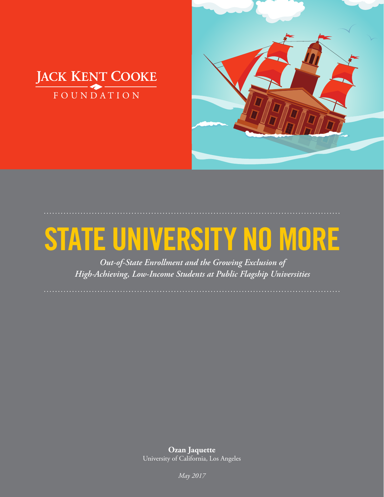

# **STATE UNIVERSITY NO MORE**

**STATE UNIVERSITY NO MORE** JACK KENT COOKE FOUNDATION

*Out-of-State Enrollment and the Growing Exclusion of High-Achieving, Low-Income Students at Public Flagship Universities*

**Ozan Jaquette** University of California, Los Angeles

1 *May 2017*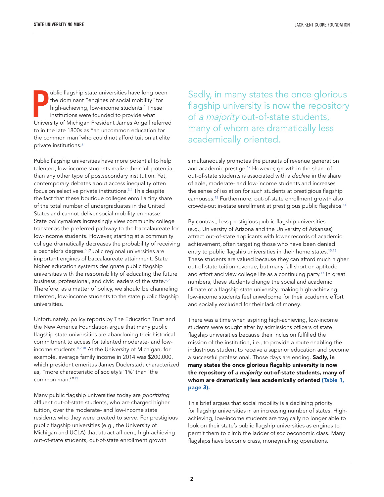**PERICAL SERVIER ISLE ISLE THEOREM THEOREM THEOREM THEOREM ISLE THEOREM ISLE ISLE ISLAMING IN UNIVERSITY Of Michigan President James Angell referred** ublic flagship state universities have long been the dominant "engines of social mobility" for high-achieving, low-income studen[ts.1](#page-20-0) These institutions were founded to provide what to in the late 1800s as "an uncommon education for the common man"who could not afford tuition at elite private institution[s.2](#page-20-0)

Public flagship universities have more potential to help talented, low-income students realize their full potential than any other type of postsecondary institution. Yet, contemporary debates about access inequality often focus on selective private institutions.<sup>3,4</sup> This despite the fact that these boutique colleges enroll a tiny share of the total number of undergraduates in the United States and cannot deliver social mobility en masse. State policymakers increasingly view community college transfer as the preferred pathway to the baccalaureate for low-income students. However, starting at a community college dramatically decreases the probability of receiving a bachelor's degree.<sup>5</sup> Public regional universities are important engines of baccalaureate attainment. State higher education systems designate public flagship universities with the responsibility of educating the future business, professional, and civic leaders of the state.<sup>6,7</sup> Therefore, as a matter of policy, we should be channeling talented, low-income students to the state public flagship universities.

Unfortunately, policy reports by The Education Trust and the New America Foundation argue that many public flagship state universities are abandoning their historical commitment to access for talented moderate- and lowincome students[.8,9,10](#page-20-0) At the University of Michigan, for example, average family income in 2014 was \$200,000, which president emeritus James Duderstadt characterized as, "more characteristic of society's '1%' than 'the common man.['"11](#page-20-0)

Many public flagship universities today are *prioritizing* affluent out-of-state students, who are charged higher tuition, over the moderate- and low-income state residents who they were created to serve. For prestigious public flagship universities (e.g., the University of Michigan and UCLA) that attract affluent, high-achieving out-of-state students, out-of-state enrollment growth

Sadly, in many states the once glorious flagship university is now the repository of *a majority* out-of-state students, many of whom are dramatically less academically oriented.

simultaneously promotes the pursuits of revenue generation and academic prestige.<sup>12</sup> [Ho](#page-20-0)wever, growth in the share of out-of-state students is associated with a *decline* in the share of able, moderate- and low-income students and increases the sense of isolation for such students at prestigious flagship campuses.<sup>13</sup> [Fu](#page-20-0)rthermore, out-of-state enrollment growth also crowds-out in-state enrollment at prestigious public flagship[s.](#page-20-0)<sup>14</sup>

By contrast, less prestigious public flagship universities (e.g., University of Arizona and the University of Arkansas) attract out-of-state applicants with lower records of academic achievement, often targeting those who have been denied entry to public flagship universities in their home states.<sup>[15,16](#page-20-0)</sup> These students are valued because they can afford much higher out-of-state tuition revenue, but many fall short on [aptitu](#page-20-0)de and effort and view college life as a continuing party. <sup>17</sup> In great numbers, these students change the social and academic climate of a flagship state university, making high-achieving, low-income students feel unwelcome for their academic effort and socially excluded for their lack of money.

There was a time when aspiring high-achieving, low-income students were sought after by admissions officers of state flagship universities because their inclusion fulfilled the mission of the institution, i.e., to provide a route enabling the industrious student to receive a superior education and become a successful professional. Those days are ending. **Sadly, in** many states the once glorious flagship university is now the repository of *a majority* out-of-state students, many of whom are dramatically less academically oriented (Table 1, page 3).

This brief argues that social mobility is a declining priority for flagship universities in an increasing number of states. Highachieving, low-income students are tragically no longer able to look on their state's public flagship universities as engines to permit them to climb the ladder of socioeconomic class. Many flagships have become crass, moneymaking operations.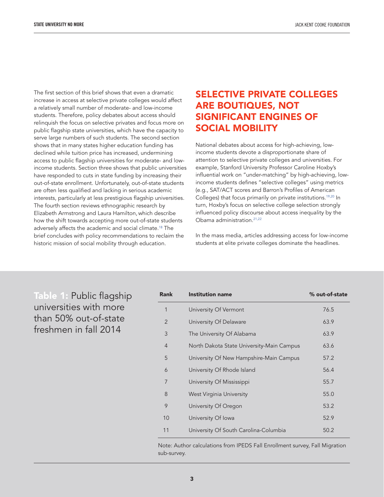<span id="page-2-0"></span>The first section of this brief shows that even a dramatic increase in access at selective private colleges would affect a relatively small number of moderate- and low-income students. Therefore, policy debates about access should relinquish the focus on selective privates and focus more on public flagship state universities, which have the capacity to serve large numbers of such students. The second section shows that in many states higher education funding has declined while tuition price has increased, undermining access to public flagship universities for moderate- and lowincome students. Section three shows that public universities have responded to cuts in state funding by increasing their out-of-state enrollment. Unfortunately, out-of-state students are often less qualified and lacking in serious academic interests, particularly at less prestigious flagship universities. The fourth section reviews ethnographic research by Elizabeth Armstrong and Laura Hamilton, which describe how the shift towards accepting more out-of-state students adversely affects the academic and social climat[e.18 Th](#page-20-0)e brief concludes with policy recommendations to reclaim the historic mission of social mobility through education.

## SELECTIVE PRIVATE COLLEGES ARE BOUTIQUES, NOT SIGNIFICANT ENGINES OF SOCIAL MOBILITY

National debates about access for high-achieving, lowincome students devote a disproportionate share of attention to selective private colleges and universities. For example, Stanford University Professor Caroline Hoxby's influential work on "under-matching" by high-achieving, lowincome students defines "selective colleges" using metrics (e.g., SAT/ACT scores and Barron's Profiles of American Colleges) that focus primarily on private institutions[.19,20 I](#page-20-0)n turn, Hoxby's focus on selective college selection strongly influenced policy discourse about access inequality by the Obama administration.<sup>21,22</sup>

In the mass media, articles addressing access for low-income students at elite private colleges dominate the headlines.

Table 1: Public flagship universities with more than 50% out-of-state freshmen in fall 2014

| Rank           | <b>Institution name</b>                   | % out-of-state |
|----------------|-------------------------------------------|----------------|
| 1              | University Of Vermont                     | 76.5           |
| $\overline{2}$ | University Of Delaware                    | 63.9           |
| 3              | The University Of Alabama                 | 63.9           |
| $\overline{4}$ | North Dakota State University-Main Campus | 63.6           |
| 5              | University Of New Hampshire-Main Campus   | 57.2           |
| 6              | University Of Rhode Island                | 56.4           |
| 7              | University Of Mississippi                 | 55.7           |
| 8              | West Virginia University                  | 55.0           |
| 9              | University Of Oregon                      | 53.2           |
| 10             | University Of Iowa                        | 52.9           |
| 11             | University Of South Carolina-Columbia     | 50.2           |

Note: Author calculations from IPEDS Fall Enrollment survey, Fall Migration sub-survey.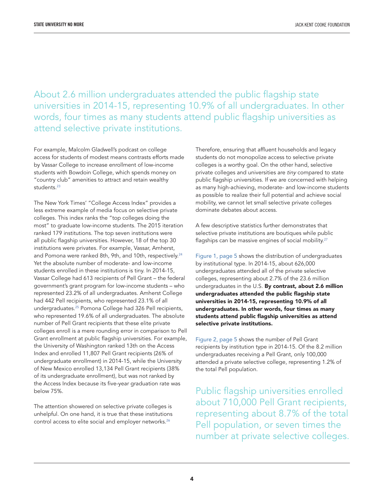About 2.6 million undergraduates attended the public flagship state universities in 2014-15, representing 10.9% of all undergraduates. In other words, four times as many students attend public flagship universities as attend selective private institutions.

For example, Malcolm Gladwell's podcast on college access for students of modest means contrasts efforts made by Vassar College to increase enrollment of low-income students with Bowdoin College, which spends money on "country club" amenities to attract and retain wealthy students.<sup>23</sup>

The New York Times' "College Access Index" provides a less extreme example of media focus on selective private colleges. This index ranks the "top colleges doing the most" to graduate low-income students. The 2015 iteration ranked 179 institutions. The top seven institutions were all public flagship universities. However, 18 of the top 30 institutions were privates. For example, Vassar, Amherst, and Pomona were ranked 8th, 9th, and 10th, respectively.<sup>24</sup> Yet the absolute number of moderate- and low-income students enrolled in these institutions is tiny. In 2014-15, Vassar College had 613 recipients of Pell Grant – the federal government's grant program for low-income students – who represented 23.2% of all undergraduates. Amherst College had 442 Pell recipients, who represented 23.1% of all undergraduate[s.25 P](#page-20-0)omona College had 326 Pell recipients, who represented 19.6% of all undergraduates. The absolute number of Pell Grant recipients that these elite private colleges enroll is a mere rounding error in comparison to Pell Grant enrollment at public flagship universities. For example, the University of Washington ranked 13th on the Access Index and enrolled 11,807 Pell Grant recipients (26% of undergraduate enrollment) in 2014-15, while the University of New Mexico enrolled 13,134 Pell Grant recipients (38% of its undergraduate enrollment), but was not ranked by the Access Index because its five-year graduation rate was below 75%.

The attention showered on selective private colleges is unhelpful. On one hand, it is true that these institutions control access to elite social and employer networks.<sup>26</sup>

Therefore, ensuring that affluent households and legacy students do not monopolize access to selective private colleges is a worthy goal. On the other hand, selective private colleges and universities are *tiny* compared to state public flagship universities. If we are concerned with helping as many high-achieving, moderate- and low-income students as possible to realize their full potential and achieve social mobility, we cannot let small selective private colleges dominate debates about access.

A few descriptive statistics further demonstrates that selective private institutions are boutiques while [public](#page-20-0) flagships can be massive engines of social mobility.<sup>27</sup>

[Figure 1, page 5 sh](#page-4-0)ows the distribution of undergraduates by institutional type. In 2014-15, about 626,000 undergraduates attended all of the private selective colleges, representing about 2.7% of the 23.6 million undergraduates in the U.S. By contrast, about 2.6 million undergraduates attended the public flagship state universities in 2014-15, representing 10.9% of all undergraduates. In other words, four times as many students attend public flagship universities as attend selective private institutions.

[Figure 2, page 5 sh](#page-4-0)ows the number of Pell Grant recipients by institution type in 2014-15. Of the 8.2 million undergraduates receiving a Pell Grant, only 100,000 attended a private selective college, representing 1.2% of the total Pell population.

Public flagship universities enrolled about 710,000 Pell Grant recipients, representing about 8.7% of the total Pell population, or seven times the number at private selective colleges.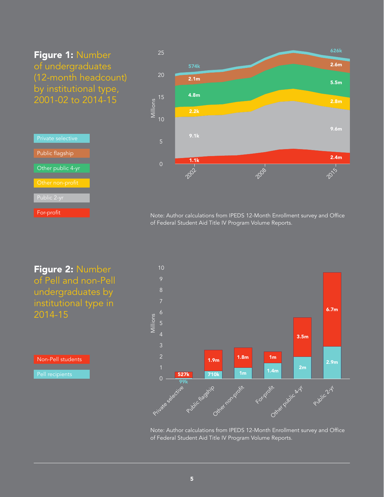## <span id="page-4-0"></span>Figure 1: Number of undergraduates (12-month headcount) by institutional type, 2001-02 to 2014-15

| Private selective |  |
|-------------------|--|
| Public flagship   |  |
| Other public 4-yr |  |
| Other non-profit  |  |
| Public 2-yr       |  |
| For-profit        |  |



Note: Author calculations from IPEDS 12-Month Enrollment survey and Office of Federal Student Aid Title IV Program Volume Reports.



Non-Pell students



Note: Author calculations from IPEDS 12-Month Enrollment survey and Office of Federal Student Aid Title IV Program Volume Reports.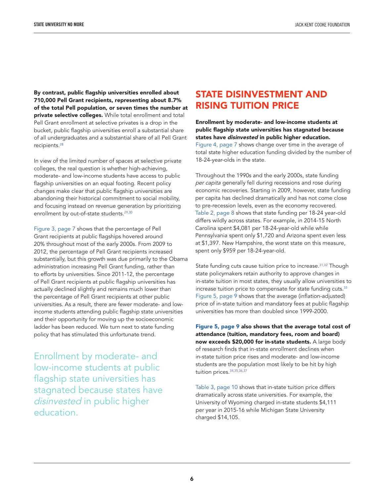By contrast, public flagship universities enrolled about 710,000 Pell Grant recipients, representing about 8.7% of the total Pell population, or seven times the number at private selective colleges. While total enrollment and total Pell Grant enrollment at selective privates is a drop in the bucket, public flagship universities enroll a substantial share of all un[dergra](#page-21-0)duates and a substantial share of all Pell Grant recipients.<sup>28</sup>

In view of the limited number of spaces at selective private colleges, the real question is whether high-achieving, moderate- and low-income students have access to public flagship universities on an equal footing. Recent policy changes make clear that public flagship universities are abandoning their historical commitment to social mobility, and focusing instead on revenue generation by prioritizing enrollment by out-of-state students.<sup>[29,30](#page-21-0)</sup>

[Figure 3, page 7 sh](#page-6-0)ows that the percentage of Pell Grant recipients at public flagships hovered around 20% throughout most of the early 2000s. From 2009 to 2012, the percentage of Pell Grant recipients increased substantially, but this growth was due primarily to the Obama administration increasing Pell Grant funding, rather than to efforts by universities. Since 2011-12, the percentage of Pell Grant recipients at public flagship universities has actually declined slightly and remains much lower than the percentage of Pell Grant recipients at other public universities. As a result, there are fewer moderate- and lowincome students attending public flagship state universities and their opportunity for moving up the socioeconomic ladder has been reduced. We turn next to state funding policy that has stimulated this unfortunate trend.

Enrollment by moderate- and low-income students at public flagship state universities has stagnated because states have *disinvested* in public higher education.

#### STATE DISINVESTMENT AND RISING TUITION PRICE

Enrollment by moderate- and low-income students at public flagship state universities has stagnated because states have *disinvested* in public higher education. [Figure 4, page 7 sh](#page-6-0)ows change over time in the average of total state higher education funding divided by the number of 18-24-year-olds in the state.

Throughout the 1990s and the early 2000s, state funding *per capita* generally fell during recessions and rose during economic recoveries. Starting in 2009, however, state funding per capita has declined dramatically and has not come close to pre-recession levels, even as the economy recovered. [Table 2, page 8 sho](#page-7-0)ws that state funding per 18-24 year-old differs wildly across states. For example, in 2014-15 North Carolina spent \$4,081 per 18-24-year-old while while Pennsylvania spent only \$1,720 and Arizona spent even less at \$1,397. New Hampshire, the worst state on this measure, spent only \$959 per 18-24-year-old.

State funding cuts cause tuition price to increase.<sup>[31,32](#page-21-0)</sup> Though state policymakers retain authority to approve changes in in-state tuition in most states, they usually allow universiti[es to](#page-21-0)  increase tuition price to compensate for state funding cuts.<sup>33</sup> [Figure 5, page 9 sh](#page-8-0)ows that the average (inflation-adjusted) price of in-state tuition and mandatory fees at public flagship universities has more than doubled since 1999-2000.

[Figure 5, page 9 a](#page-8-0)lso shows that the average total cost of attendance (tuition, mandatory fees, room and board) now exceeds \$20,000 for in-state students. A large body of research finds that in-state enrollment declines when in-state tuition price rises and moderate- and low-income students ar[e the popu](#page-21-0)lation most likely to be hit by high tuition prices. 34,35,36,37

[Table 3, page 10 sh](#page-9-0)ows that in-state tuition price differs dramatically across state universities. For example, the University of Wyoming charged in-state students \$4,111 per year in 2015-16 while Michigan State University charged \$14,105.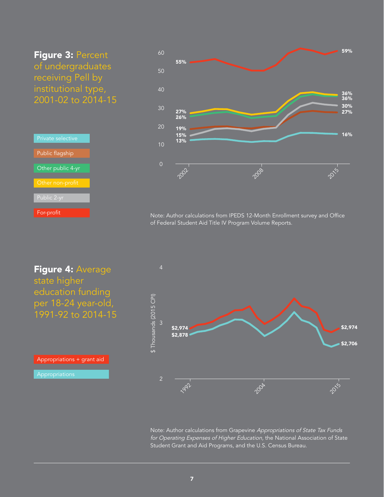<span id="page-6-0"></span>Figure 3: Percent of undergraduates receiving Pell by institutional type, 2001-02 to 2014-15

| <b>Private</b> selective |
|--------------------------|
| Public flagship          |
| Other public 4-yr        |
| Other non-profit         |
| Public 2-yr              |
| For-profit               |



Note: Author calculations from IPEDS 12-Month Enrollment survey and Office of Federal Student Aid Title IV Program Volume Reports.

Figure 4: Average state higher education funding per 18-24 year-old, 1991-92 to 2014-15

Appropriations + grant aid Appropriations



Note: Author calculations from Grapevine *Appropriations of State Tax Funds for Operating Expenses of Higher Education,* the National Association of State Student Grant and Aid Programs, and the U.S. Census Bureau.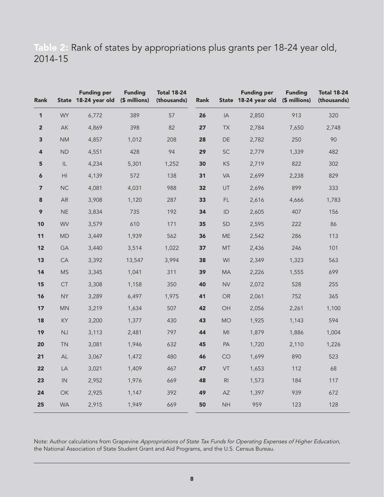## <span id="page-7-0"></span>Table 2: Rank of states by appropriations plus grants per 18-24 year old, 2014-15

| <b>Rank</b>             |                | <b>Funding per</b><br>State 18-24 year old | <b>Funding</b><br>(\$ millions) | <b>Total 18-24</b><br>(thousands) | Rank |                 | <b>Funding per</b><br>State 18-24 year old (\$ millions) | <b>Funding</b> | <b>Total 18-24</b><br>(thousands) |
|-------------------------|----------------|--------------------------------------------|---------------------------------|-----------------------------------|------|-----------------|----------------------------------------------------------|----------------|-----------------------------------|
| 1                       | <b>WY</b>      | 6,772                                      | 389                             | 57                                | 26   | $\mathsf{IA}$   | 2,850                                                    | 913            | 320                               |
| $\overline{2}$          | AK             | 4,869                                      | 398                             | 82                                | 27   | <b>TX</b>       | 2,784                                                    | 7,650          | 2,748                             |
| 3                       | <b>NM</b>      | 4,857                                      | 1,012                           | 208                               | 28   | DE              | 2,782                                                    | 250            | 90                                |
| 4                       | <b>ND</b>      | 4,551                                      | 428                             | 94                                | 29   | SC              | 2,779                                                    | 1,339          | 482                               |
| 5                       | IL             | 4,234                                      | 5,301                           | 1,252                             | 30   | KS              | 2,719                                                    | 822            | 302                               |
| 6                       | H <sub>l</sub> | 4,139                                      | 572                             | 138                               | 31   | VA              | 2,699                                                    | 2,238          | 829                               |
| $\overline{\mathbf{z}}$ | <b>NC</b>      | 4,081                                      | 4,031                           | 988                               | 32   | UT              | 2,696                                                    | 899            | 333                               |
| 8                       | <b>AR</b>      | 3,908                                      | 1,120                           | 287                               | 33   | FL.             | 2,616                                                    | 4,666          | 1,783                             |
| 9                       | <b>NE</b>      | 3,834                                      | 735                             | 192                               | 34   | ID              | 2,605                                                    | 407            | 156                               |
| 10                      | <b>WV</b>      | 3,579                                      | 610                             | 171                               | 35   | <b>SD</b>       | 2,595                                                    | 222            | 86                                |
| 11                      | <b>MD</b>      | 3,449                                      | 1,939                           | 562                               | 36   | <b>ME</b>       | 2,542                                                    | 286            | 113                               |
| 12                      | GA             | 3,440                                      | 3,514                           | 1,022                             | 37   | <b>MT</b>       | 2,436                                                    | 246            | 101                               |
| 13                      | CA             | 3,392                                      | 13,547                          | 3,994                             | 38   | WI              | 2,349                                                    | 1,323          | 563                               |
| 14                      | <b>MS</b>      | 3,345                                      | 1,041                           | 311                               | 39   | <b>MA</b>       | 2,226                                                    | 1,555          | 699                               |
| 15                      | ${\sf CT}$     | 3,308                                      | 1,158                           | 350                               | 40   | <b>NV</b>       | 2,072                                                    | 528            | 255                               |
| 16                      | <b>NY</b>      | 3,289                                      | 6,497                           | 1,975                             | 41   | <b>OR</b>       | 2,061                                                    | 752            | 365                               |
| 17                      | <b>MN</b>      | 3,219                                      | 1,634                           | 507                               | 42   | OH              | 2,056                                                    | 2,261          | 1,100                             |
| 18                      | KY             | 3,200                                      | 1,377                           | 430                               | 43   | <b>MO</b>       | 1,925                                                    | 1,143          | 594                               |
| 19                      | NJ             | 3,113                                      | 2,481                           | 797                               | 44   | MI              | 1,879                                                    | 1,886          | 1,004                             |
| 20                      | <b>TN</b>      | 3,081                                      | 1,946                           | 632                               | 45   | PA              | 1,720                                                    | 2,110          | 1,226                             |
| 21                      | AL             | 3,067                                      | 1,472                           | 480                               | 46   | CO              | 1,699                                                    | 890            | 523                               |
| 22                      | LA             | 3,021                                      | 1,409                           | 467                               | 47   | VT              | 1,653                                                    | 112            | 68                                |
| 23                      | $\mathsf{IN}$  | 2,952                                      | 1,976                           | 669                               | 48   | R <sub>l</sub>  | 1,573                                                    | 184            | 117                               |
| 24                      | OK             | 2,925                                      | 1,147                           | 392                               | 49   | AZ              | 1,397                                                    | 939            | 672                               |
| 25                      | <b>WA</b>      | 2,915                                      | 1,949                           | 669                               | 50   | $\mathsf{NH}\,$ | 959                                                      | 123            | 128                               |

Note: Author calculations from Grapevine *Appropriations of State Tax Funds for Operating Expenses of Higher Education,* the National Association of State Student Grant and Aid Programs, and the U.S. Census Bureau.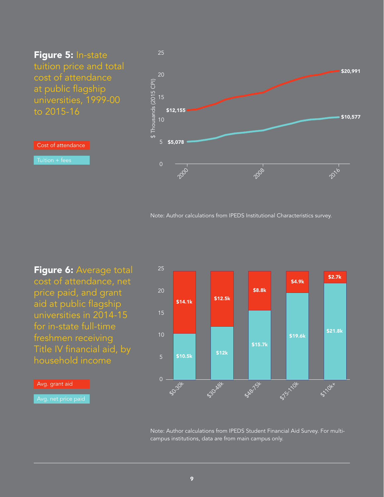<span id="page-8-0"></span>Figure 5: In-state tuition price and total cost of attendance at public flagship universities, 1999-00 to 2015-16

Cost of attendance

Tuition + fees



Note: Author calculations from IPEDS Institutional Characteristics survey.

\$8.8k

\$4.9k

Figure 6: Average total cost of attendance, net price paid, and grant aid at public flagship universities in 2014-15 for in-state full-time freshmen receiving Title IV financial aid, by household income



\$12.5k

Avg. grant aid



**5210K**x

\$2.7k

\$21.8k

25

20

15

\$14.1k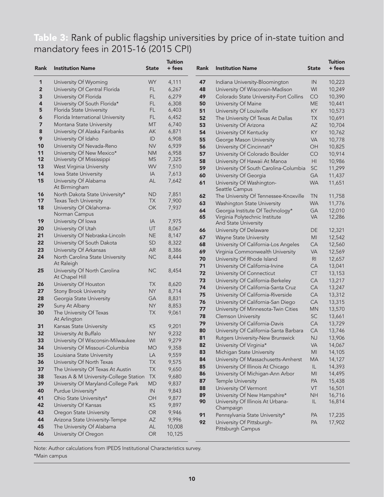# <span id="page-9-0"></span>Table 3: Rank of public flagship universities by price of in-state tuition and mandatory fees in 2015-16 (2015 CPI)

| <b>Rank</b> | <b>Institution Name</b>                                    | <b>State</b>    | <b>Tuition</b><br>+ fees | Rank     | <b>Institution Name</b>                                               | <b>State</b>   | <b>Tuition</b><br>+ fees |
|-------------|------------------------------------------------------------|-----------------|--------------------------|----------|-----------------------------------------------------------------------|----------------|--------------------------|
| 1           | University Of Wyoming                                      | <b>WY</b>       | 4,111                    | 47       | Indiana University-Bloomington                                        | IN             | 10,223                   |
| 2           | University Of Central Florida                              | FL.             | 6,267                    | 48       | University Of Wisconsin-Madison                                       | WI             | 10,249                   |
| 3           | University Of Florida                                      | FL              | 6,279                    | 49       | Colorado State University-Fort Collins                                | CO             | 10,390                   |
| 4           | University Of South Florida*                               | FL              | 6,308                    | 50       | University Of Maine                                                   | <b>ME</b>      | 10,441                   |
| 5           | Florida State University                                   | FL              | 6,403                    | 51       | University Of Louisville                                              | KY             | 10,573                   |
| 6           | Florida International University                           | FL              | 6,452                    | 52       | The University Of Texas At Dallas                                     | ТX             | 10,691                   |
| 7           | Montana State University                                   | <b>MT</b>       | 6,740                    | 53       | University Of Arizona                                                 | AZ             | 10,704                   |
| 8           | University Of Alaska Fairbanks                             | AK              | 6,871                    | 54       | University Of Kentucky                                                | KY             | 10,762                   |
| 9           | University Of Idaho                                        | ID              | 6,908                    | 55       | George Mason University                                               | VA             | 10,778                   |
| 10          | University Of Nevada-Reno                                  | <b>NV</b>       | 6,939                    | 56       | University Of Cincinnati*                                             | OH             | 10,825                   |
| 11          | University Of New Mexico*                                  | <b>NM</b>       | 6,958                    | 57       | University Of Colorado Boulder                                        | CO             | 10,914                   |
| 12          | University Of Mississippi                                  | MS              | 7,325                    | 58       | University Of Hawaii At Manoa                                         | HI             | 10,986                   |
| 13          | West Virginia University                                   | WV              | 7,510                    | 59       | University Of South Carolina-Columbia                                 | <b>SC</b>      | 11,299                   |
| 14          | Iowa State University                                      | IA              | 7,613                    | 60       | University Of Georgia                                                 | GA             | 11,437                   |
| 15          | University Of Alabama<br>At Birmingham                     | AL              | 7,642                    | 61       | University Of Washington-<br>Seattle Campus                           | <b>WA</b>      | 11,651                   |
| 16<br>17    | North Dakota State University*                             | ΝD<br><b>TX</b> | 7,851<br>7,900           | 62       | The University Of Tennessee-Knoxville                                 | TN             | 11,758                   |
| 18          | Texas Tech University<br>University Of Oklahoma-           | OK              | 7,937                    | 63       | Washington State University                                           | <b>WA</b>      | 11,776                   |
|             | Norman Campus                                              |                 |                          | 64       | Georgia Institute Of Technology*                                      | GA             | 12,010                   |
| 19          | University Of Iowa                                         | IA              | 7,975                    | 65       | Virginia Polytechnic Institute                                        | VA             | 12,286                   |
| 20          | University Of Utah                                         | UT              | 8,067                    |          | And State University                                                  |                | 12,321                   |
| 21          | University Of Nebraska-Lincoln                             | <b>NE</b>       | 8,147                    | 66<br>67 | University Of Delaware                                                | DE<br>МI       | 12,542                   |
| 22          | University Of South Dakota                                 | <b>SD</b>       | 8,322                    | 68       | <b>Wayne State University</b><br>University Of California-Los Angeles | CA             | 12,560                   |
| 23          | University Of Arkansas                                     | AR              | 8,386                    | 69       | Virginia Commonwealth University                                      | VA             | 12,569                   |
| 24          | North Carolina State University                            | <b>NC</b>       | 8,444                    | 70       | University Of Rhode Island                                            | R <sub>l</sub> | 12,657                   |
|             | At Raleigh                                                 |                 |                          | 71       | University Of California-Irvine                                       | CA             | 13,041                   |
| 25          | University Of North Carolina                               | <b>NC</b>       | 8,454                    | 72       | University Of Connecticut                                             | CT             | 13,153                   |
|             | At Chapel Hill                                             |                 |                          | 73       | University Of California-Berkeley                                     | СA             | 13,217                   |
| 26          | University Of Houston                                      | <b>TX</b>       | 8,620                    | 74       | University Of California-Santa Cruz                                   | CA             | 13,247                   |
| 27          | <b>Stony Brook University</b>                              | <b>NY</b>       | 8,714                    | 75       | University Of California-Riverside                                    | <b>CA</b>      | 13,312                   |
| 28          | Georgia State University                                   | GА              | 8,831                    | 76       | University Of California-San Diego                                    | CA             | 13,315                   |
| 29          | Suny At Albany                                             | <b>NY</b>       | 8,853                    | 77       | University Of Minnesota-Twin Cities                                   | ΜN             | 13,570                   |
| 30          | The University Of Texas                                    | ТX              | 9,061                    | 78       | <b>Clemson University</b>                                             | <b>SC</b>      | 13,661                   |
|             | At Arlington                                               |                 |                          | 79       | University Of California-Davis                                        | CA             | 13,729                   |
| 31<br>32    | Kansas State University                                    | KS<br><b>NY</b> | 9,201<br>9,232           | 80       | University Of California-Santa Barbara                                | <b>CA</b>      | 13,746                   |
| 33          | University At Buffalo<br>University Of Wisconsin-Milwaukee | WI              | 9,279                    | 81       | Rutgers University-New Brunswick                                      | <b>NJ</b>      | 13,906                   |
| 34          | University Of Missouri-Columbia                            | <b>MO</b>       | 9,358                    | 82       | University Of Virginia*                                               | <b>VA</b>      | 14,067                   |
| 35          | Louisiana State University                                 | LA              | 9,559                    | 83       | Michigan State University                                             | MI             | 14,105                   |
| 36          | University Of North Texas                                  | <b>TX</b>       | 9,575                    | 84       | University Of Massachusetts-Amherst                                   | <b>MA</b>      | 14,127                   |
| 37          | The University Of Texas At Austin                          | <b>TX</b>       | 9,650                    | 85       | University Of Illinois At Chicago                                     | IL.            | 14,393                   |
| 38          | Texas A & M University-College Station                     | <b>TX</b>       | 9,680                    | 86       | University Of Michigan-Ann Arbor                                      | MI             | 14,495                   |
| 39          | University Of Maryland-College Park                        | <b>MD</b>       | 9,837                    | 87       | Temple University                                                     | PA             | 15,438                   |
| 40          | Purdue University*                                         | $\sf IN$        | 9,843                    | 88       | University Of Vermont                                                 | VT             | 16,501                   |
| 41          | Ohio State Universitys*                                    | OH              | 9,877                    | 89       | University Of New Hampshire*                                          | <b>NH</b>      | 16,716                   |
| 42          | University Of Kansas                                       | KS              | 9,897                    | 90       | University Of Illinois At Urbana-                                     | IL.            | 16,814                   |
| 43          | Oregon State University                                    | OR              | 9,946                    |          | Champaign                                                             |                |                          |
| 44          | Arizona State University-Tempe                             | AZ              | 9,996                    | 91       | Pennsylvania State University*                                        | PА             | 17,235                   |
| 45          | The University Of Alabama                                  | $\mathsf{AL}$   | 10,008                   | 92       | University Of Pittsburgh-<br>Pittsburgh Campus                        | PA             | 17,902                   |
| 46          | University Of Oregon                                       | $\mathsf{OR}$   | 10,125                   |          |                                                                       |                |                          |

Note: Author calculations from IPEDS Institutional Characteristics survey. \*Main campus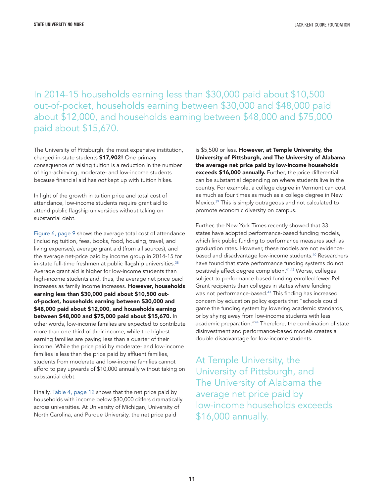In 2014-15 households earning less than \$30,000 paid about \$10,500 out-of-pocket, households earning between \$30,000 and \$48,000 paid about \$12,000, and households earning between \$48,000 and \$75,000 paid about \$15,670.

The University of Pittsburgh, the most expensive institution, charged in-state students \$17,902! One primary consequence of raising tuition is a reduction in the number of high-achieving, moderate- and low-income students because financial aid has *not* kept up with tuition hikes.

In light of the growth in tuition price and total cost of attendance, low-income students require grant aid to attend public flagship universities without taking on substantial debt.

[Figure 6, page 9 s](#page-8-0)hows the average total cost of attendance (including tuition, fees, books, food, housing, travel, and living expenses), average grant aid (from all sources), and the average net-price paid by income group in 2014-1[5 for](#page-21-0)  in-state full-time freshmen at public flagship universities.<sup>38</sup> Average grant aid is higher for low-income students than high-income students and, thus, the average net price paid increases as family income increases. However, households earning less than \$30,000 paid about \$10,500 outof-pocket, households earning between \$30,000 and \$48,000 paid about \$12,000, and households earning between \$48,000 and \$75,000 paid about \$15,670. In other words, low-income families are expected to contribute more than one-third of their income, while the highest earning families are paying less than a quarter of their income. While the price paid by moderate- and low-income families is less than the price paid by affluent families, students from moderate and low-income families cannot afford to pay upwards of \$10,000 annually without taking on substantial debt.

Finally[, Table 4, page 12 s](#page-11-0)hows that the net price paid by households with income below \$30,000 differs dramatically across universities. At University of Michigan, University of North Carolina, and Purdue University, the net price paid

is \$5,500 or less. However, at Temple University, the University of Pittsburgh, and The University of Alabama the average net price paid by low-income households exceeds \$16,000 annually. Further, the price differential can be substantial depending on where students live in the country. For example, a college degree in Vermont can cost as much as four times as much as a college degree in New Mexic[o.39 T](#page-21-0)his is simply outrageous and not calculated to promote economic diversity on campus.

Further, the New York Times recently showed that 33 states have adopted performance-based funding models, which link public funding to performance measures such as graduation rates. However, these models are not evidencebased and disadvantage low-income students.<sup>40</sup> Researchers have found that state performance funding systems do not positively affect degree completion[.41,42 W](#page-21-0)orse, colleges subject to performance-based funding enrolled fewer Pell Grant recipients than colleges in states where funding was not performance-based.<sup>43</sup> This finding has increased concern by education policy experts that "schools could game the funding system by lowering academic standards, or by shying away from low-income students with less academic preparation."<sup>44</sup> Therefore, the combination of state disinvestment and performance-based models creates a double disadvantage for low-income students.

At Temple University, the University of Pittsburgh, and The University of Alabama the average net price paid by low-income households exceeds \$16,000 annually.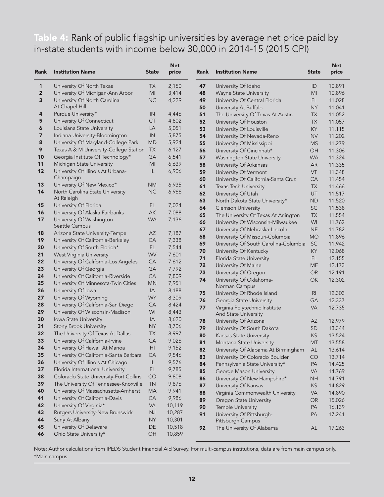<span id="page-11-0"></span>Table 4: Rank of public flagship universities by average net price paid by in-state students with income below 30,000 in 2014-15 (2015 CPI)

| <b>Rank</b>             | <b>Institution Name</b>                                                         | <b>State</b>           | <b>Net</b><br>price | Rank     | <b>Institution Name</b>                         | <b>State</b>   | <b>Net</b><br>price |
|-------------------------|---------------------------------------------------------------------------------|------------------------|---------------------|----------|-------------------------------------------------|----------------|---------------------|
| 1                       | University Of North Texas                                                       | ТX                     | 2,150               | 47       | University Of Idaho                             | ID             | 10,891              |
| $\overline{\mathbf{c}}$ | University Of Michigan-Ann Arbor                                                | MI                     | 3,414               | 48       | Wayne State University                          | MI             | 10,896              |
| 3                       | University Of North Carolina                                                    | <b>NC</b>              | 4,229               | 49       | University Of Central Florida                   | FL.            | 11,028              |
|                         | At Chapel Hill                                                                  |                        |                     | 50       | University At Buffalo                           | <b>NY</b>      | 11,041              |
| 4                       | Purdue University*                                                              | IN                     | 4,446               | 51       | The University Of Texas At Austin               | <b>TX</b>      | 11,052              |
| 5                       | University Of Connecticut                                                       | <b>CT</b>              | 4,802               | 52       | University Of Houston                           | <b>TX</b>      | 11,057              |
| 6                       | Louisiana State University                                                      | LA                     | 5,051               | 53       | University Of Louisville                        | KY.            | 11,115              |
| 7                       | Indiana University-Bloomington                                                  | IN                     | 5,875               | 54       | University Of Nevada-Reno                       | <b>NV</b>      | 11,202              |
| 8                       | University Of Maryland-College Park                                             | <b>MD</b>              | 5,924               | 55       | University Of Mississippi                       | <b>MS</b>      | 11,279              |
| 9                       | Texas A & M University-College Station                                          | <b>TX</b>              | 6,127               | 56       | University Of Cincinnati*                       | OH             | 11,306              |
| 10                      | Georgia Institute Of Technology*                                                | GA                     | 6,541               | 57       | Washington State University                     | <b>WA</b>      | 11,324              |
| 11                      | Michigan State University                                                       | MI                     | 6,639               | 58       | University Of Arkansas                          | <b>AR</b>      | 11,335              |
| 12                      | University Of Illinois At Urbana-                                               | IL                     | 6,906               | 59       | University Of Vermont                           | VT             | 11,348              |
|                         | Champaign                                                                       |                        |                     | 60       | University Of California-Santa Cruz             | CA             | 11,454              |
| 13                      | University Of New Mexico*                                                       | <b>NM</b>              | 6,935               | 61       | Texas Tech University                           | <b>TX</b>      | 11,466              |
| 14                      | North Carolina State University                                                 | <b>NC</b>              | 6,966               | 62       | University Of Utah                              | UT             | 11,517              |
| 15                      | At Raleigh<br>University Of Florida                                             | FL                     | 7,024               | 63       | North Dakota State University*                  | <b>ND</b>      | 11,520              |
| 16                      | University Of Alaska Fairbanks                                                  | AK                     | 7,088               | 64       | <b>Clemson University</b>                       | SC             | 11,538              |
| 17                      | University Of Washington-                                                       | <b>WA</b>              | 7,136               | 65       | The University Of Texas At Arlington            | <b>TX</b>      | 11,554              |
|                         | Seattle Campus                                                                  |                        |                     | 66       | University Of Wisconsin-Milwaukee               | WI             | 11,762              |
| 18                      | Arizona State University-Tempe                                                  | AZ                     | 7,187               | 67       | University Of Nebraska-Lincoln                  | <b>NE</b>      | 11,782              |
| 19                      | University Of California-Berkeley                                               | CA                     | 7,338               | 68       | University Of Missouri-Columbia                 | <b>MO</b>      | 11,896              |
| 20                      | University Of South Florida*                                                    | <b>FL</b>              | 7,544               | 69       | University Of South Carolina-Columbia           | SC             | 11,942              |
| 21                      | West Virginia University                                                        | WV                     | 7,601               | 70       | University Of Kentucky                          | KY             | 12,068              |
| 22                      | University Of California-Los Angeles                                            | CA                     | 7,612               | 71       | Florida State University                        | FL.            | 12,155              |
| 23                      | University Of Georgia                                                           | GA                     | 7,792               | 72       | University Of Maine                             | ME             | 12,173              |
| 24                      | University Of California-Riverside                                              | CA                     | 7,809               | 73<br>74 | University Of Oregon<br>University Of Oklahoma- | OR<br>OK       | 12,191<br>12,302    |
| 25                      | University Of Minnesota-Twin Cities                                             | <b>MN</b>              | 7,951               |          | Norman Campus                                   |                |                     |
| 26                      | University Of Iowa                                                              | IA                     | 8,188               | 75       | University Of Rhode Island                      | R <sub>l</sub> | 12,303              |
| 27                      | University Of Wyoming                                                           | <b>WY</b>              | 8,309               | 76       | Georgia State University                        | GА             | 12,337              |
| 28                      | University Of California-San Diego                                              | CA                     | 8,424               | 77       | Virginia Polytechnic Institute                  | <b>VA</b>      | 12,735              |
| 29                      | University Of Wisconsin-Madison                                                 | WI                     | 8,443               |          | <b>And State University</b>                     |                |                     |
| 30                      | Iowa State University                                                           | IA                     | 8,620               | 78       | University Of Arizona                           | AZ             | 12,979              |
| 31                      | <b>Stony Brook University</b>                                                   | <b>NY</b>              | 8,706               | 79       | University Of South Dakota                      | SD             | 13,344              |
| 32                      | The University Of Texas At Dallas                                               | <b>TX</b>              | 8,997               | 80       | Kansas State University                         | ΚS             | 13,524              |
| 33                      | University Of California-Irvine                                                 | CA                     | 9,026               | 81       | Montana State University                        | MT             | 13,558              |
| 34                      | University Of Hawaii At Manoa                                                   | H <sub>l</sub>         | 9,152               | 82       | University Of Alabama At Birmingham             | AL             | 13,614              |
| 35                      | University Of California-Santa Barbara                                          | CA                     | 9,546               | 83       | University Of Colorado Boulder                  | CO             | 13,714              |
| 36                      | University Of Illinois At Chicago                                               | IL                     | 9,576               | 84       | Pennsylvania State University*                  | PA             | 14,425              |
| 37                      | Florida International University                                                | FL                     | 9,785               | 85       | George Mason University                         | <b>VA</b>      | 14,769              |
| 38                      | Colorado State University-Fort Collins<br>The University Of Tennessee-Knoxville | CO                     | 9,808               | 86       | University Of New Hampshire*                    | <b>NH</b>      | 14,791              |
| 39<br>40                | University Of Massachusetts-Amherst                                             | <b>TN</b><br><b>MA</b> | 9,876<br>9,941      | 87       | University Of Kansas                            | KS             | 14,829              |
| 41                      | University Of California-Davis                                                  | CA                     | 9,986               | 88       | Virginia Commonwealth University                | <b>VA</b>      | 14,890              |
| 42                      | University Of Virginia*                                                         | VA                     | 10,119              | 89       | Oregon State University                         | <b>OR</b>      | 15,026              |
| 43                      | Rutgers University-New Brunswick                                                | <b>NJ</b>              | 10,287              | 90       | Temple University                               | PA             | 16,139              |
| 44                      | Suny At Albany                                                                  | <b>NY</b>              | 10,301              | 91       | University Of Pittsburgh-<br>Pittsburgh Campus  | PA             | 17,241              |
| 45                      | University Of Delaware                                                          | DE                     | 10,518              | 92       | The University Of Alabama                       | AL             | 17,263              |
| 46                      | Ohio State University*                                                          | OH                     | 10,859              |          |                                                 |                |                     |

Note: Author calculations from IPEDS Student Financial Aid Survey. For multi-campus institutions, data are from main campus only. \*Main campus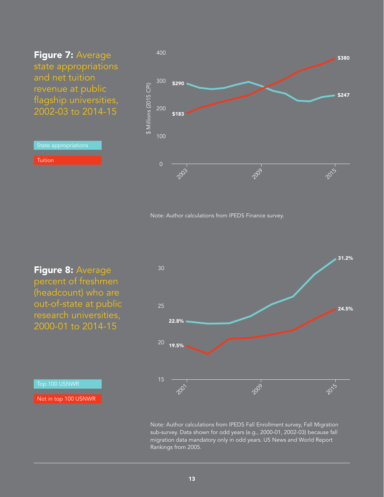<span id="page-12-0"></span>Figure 7: Average state appropriations and net tuition revenue at public flagship universities, 2002-03 to 2014-15

State appropriations

**Tuition** 



Note: Author calculations from IPEDS Finance survey.

Figure 8: Average percent of freshmen (headcount) who are out-of-state at public research universities, 2000-01 to 2014-15



Note: Author calculations from IPEDS Fall Enrollment survey, Fall Migration sub-survey. Data shown for odd years (e.g., 2000-01, 2002-03) because fall migration data mandatory only in odd years. US News and World Report Rankings from 2005.

Not in top 100 USNWR

Top 100 USNWR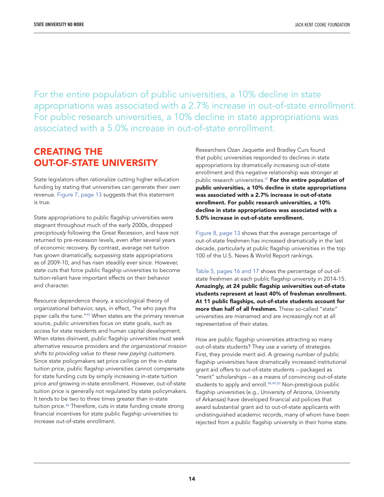For the entire population of public universities, a 10% decline in state appropriations was associated with a 2.7% increase in out-of-state enrollment. For public research universities, a 10% decline in state appropriations was associated with a 5.0% increase in out-of-state enrollment.

## CREATING THE OUT-OF-STATE UNIVERSITY

State legislators often rationalize cutting higher education funding by stating that universities can generate their own revenue. [Figure 7, page 13 s](#page-12-0)uggests that this statement is true.

State appropriations to public flagship universities were stagnant throughout much of the early 2000s, dropped *precipitously* following the Great Recession, and have not returned to pre-recession levels, even after several years of economic recovery. By contrast, average net tuition has grown dramatically, surpassing state appropriations as of 2009-10, and has risen steadily ever since. However, state cuts that force public flagship universities to become tuition-reliant have important effects on their behavior and character.

Resource dependence theory, a sociological theory of organizational behavior, says, in effect, "he who pays the piper calls the tune[."45 W](#page-21-0)hen states are the primary revenue source, public universities focus on state goals, such as access for state residents and human capital development. When states disinvest, public flagship universities must seek alternative resource providers and *the organizational mission shifts to providing value to these new paying customers.* Since state policymakers set price ceilings on the in-state tuition price, public flagship universities cannot compensate for state funding cuts by simply increasing in-state tuition price *and* growing in-state enrollment. However, out-of-state tuition price is generally not regulated by state policymakers. It tends to be two to three times greater than in-state tuition price.<sup>46</sup> Therefore, cuts in state funding create strong financial incentives for state public flagship universities to increase out-of-state enrollment.

Researchers Ozan Jaquette and Bradley Curs found that public universities responded to declines in state appropriations by dramatically increasing out-of-state enrollment and this negative relationship was stronger at public research universities.<sup>47</sup> For the entire population of public universities, a 10% decline in state appropriations was associated with a 2.7% increase in out-of-state enrollment. For public research universities, a 10% decline in state appropriations was associated with a 5.0% increase in out-of-state enrollment.

[Figure 8, page 13 s](#page-12-0)hows that the average percentage of out-of-state freshmen has increased dramatically in the last decade, particularly at public flagship universities in the top 100 of the U.S. News & World Report rankings.

[Table 5, pages 16 and 17 sh](#page-15-0)ows the percentage of out-ofstate freshmen at each public flagship university in 2014-15. Amazingly, at 24 public flagship universities out-of-state students represent at least 40% of freshman enrollment. At 11 public flagships, out-of-state students account for more than half of all freshmen. These so-called "state" universities are misnamed and are increasingly not at all representative of their states.

How are public flagship universities attracting so many out-of-state students? They use a variety of strategies. First, they provide merit aid. A growing number of public flagship universities have dramatically increased institutional grant aid offers to out-of-state students – packaged as "merit" scholarships – as a means of convincing out-of-state students to apply and enroll.<sup>48,49,50</sup> Non-prestigious public flagship universities (e.g., University of Arizona, University of Arkansas) have developed financial aid policies that award substantial grant aid to out-of-state applicants with undistinguished academic records, many of whom have been rejected from a public flagship university in their home state.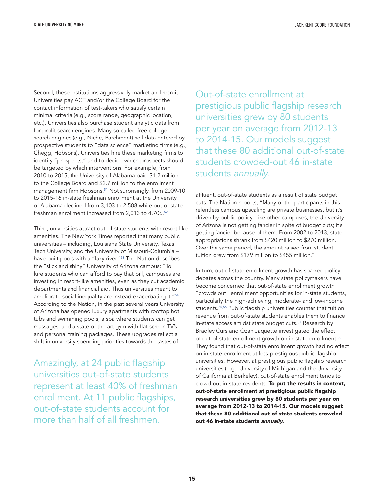Second, these institutions aggressively market and recruit. Universities pay ACT and/or the College Board for the contact information of test-takers who satisfy certain minimal criteria (e.g., score range, geographic location, etc.). Universities also purchase student analytic data from for-profit search engines. Many so-called free college search engines (e.g., Niche, Parchment) sell data entered by prospective students to "data science" marketing firms (e.g., Chegg, Hobsons). Universities hire these marketing firms to identify "prospects," and to decide which prospects should be targeted by which interventions. For example, from 2010 to 2015, the University of Alabama paid \$1.2 million to the College Board and \$2.7 million to the enrollment management firm Hobsons.<sup>51</sup> Not surprisingly, from 2009-10 to 2015-16 in-state freshman enrollment at the University of Alabama declined from 3,103 to 2,508 while out-of-state freshman enrollment increased from 2,013 to 4,706.<sup>52</sup>

Third, universities attract out-of-state students with resort-like amenities. The New York Times reported that many public universities – including, Louisiana State University, Texas Tech University, and the University of Missouri-Columbia – have built pools with a "lazy river."<sup>53</sup> The Nation describes the "slick and shiny" University of Arizona campus: "To lure students who can afford to pay that bill, campuses are investing in resort-like amenities, even as they cut academic departments and financial aid. Thus universities meant to ameliorate social inequality are instead exacerbating it[."54](#page-22-0) According to the Nation, in the past several years University of Arizona has opened luxury apartments with rooftop hot tubs and swimming pools, a spa where students can get massages, and a state of the art gym with flat screen TV's and personal training packages. These upgrades reflect a shift in university spending priorities towards the tastes of

Amazingly, at 24 public flagship universities out-of-state students represent at least 40% of freshman enrollment. At 11 public flagships, out-of-state students account for more than half of all freshmen.

Out-of-state enrollment at prestigious public flagship research universities grew by 80 students per year on average from 2012-13 to 2014-15. Our models suggest that these 80 additional out-of-state students crowded-out 46 in-state students *annually.*

affluent, out-of-state students as a result of state budget cuts. The Nation reports, "Many of the participants in this relentless campus upscaling are private businesses, but it's driven by public policy. Like other campuses, the University of Arizona is not getting fancier in spite of budget cuts; it's getting fancier because of them. From 2002 to 2013, state appropriations shrank from \$420 million to \$270 million. Over the same period, the amount raised from student tuition grew from \$179 million to \$455 million."

In turn, out-of-state enrollment growth has sparked policy debates across the country. Many state policymakers have become concerned that out-of-state enrollment growth "crowds out" enrollment opportunities for in-state students, particularly the high-achieving, moderate- and low-income students.<sup>55,56</sup> Public flagship universities counter that tuition revenue from out-of-state students enables them to finance in-state access amidst state budget cuts.<sup>57</sup> Research by Bradley Curs and Ozan Jaquette investigated the effect of out-of-state enrollment growth on in-state enrollment.<sup>58</sup> They found that out-of-state enrollment growth had no effect on in-state enrollment at less-prestigious public flagship universities. However, at prestigious public flagship research universities (e.g., University of Michigan and the University of California at Berkeley), out-of-state enrollment tends to crowd-out in-state residents. To put the results in context, out-of-state enrollment at prestigious public flagship research universities grew by 80 students per year on average from 2012-13 to 2014-15. Our models suggest that these 80 additional out-of-state students crowdedout 46 in-state students *annually.*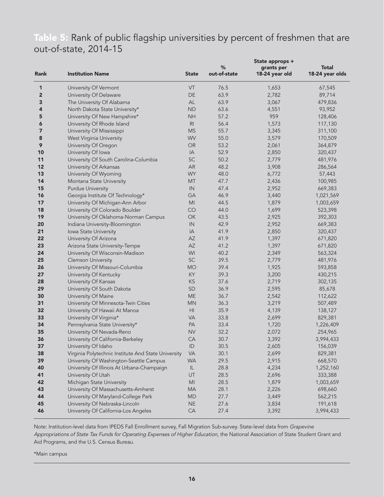# <span id="page-15-0"></span>Table 5: Rank of public flagship universities by percent of freshmen that are out-of-state, 2014-15

| Rank                    | <b>Institution Name</b>                             | <b>State</b>           | %<br>out-of-state | State approps +<br>grants per<br>18-24 year old | <b>Total</b><br>18-24 year olds |
|-------------------------|-----------------------------------------------------|------------------------|-------------------|-------------------------------------------------|---------------------------------|
| 1                       | University Of Vermont                               | VT                     | 76.5              | 1,653                                           | 67,545                          |
| $\overline{\mathbf{c}}$ | University Of Delaware                              | $\mathsf{DE}% _{T}$    | 63.9              | 2,782                                           | 89,714                          |
| 3                       | The University Of Alabama                           | AL                     | 63.9              | 3,067                                           | 479,836                         |
| 4                       | North Dakota State University*                      | <b>ND</b>              | 63.6              | 4,551                                           | 93,952                          |
| 5                       | University Of New Hampshire*                        | <b>NH</b>              | 57.2              | 959                                             | 128,406                         |
| 6                       | University Of Rhode Island                          | R <sub>l</sub>         | 56.4              | 1,573                                           | 117,130                         |
| 7                       | University Of Mississippi                           | <b>MS</b>              | 55.7              | 3,345                                           | 311,100                         |
| 8                       | West Virginia University                            | WV                     | 55.0              | 3,579                                           | 170,509                         |
| 9                       | University Of Oregon                                | OR                     | 53.2              | 2,061                                           | 364,879                         |
| 10                      | University Of Iowa                                  | IA                     | 52.9              | 2,850                                           | 320,437                         |
| 11                      | University Of South Carolina-Columbia               | SC                     | 50.2              | 2,779                                           | 481,976                         |
| 12                      | University Of Arkansas                              | AR                     | 48.2              | 3,908                                           | 286,564                         |
| 13                      | University Of Wyoming                               | <b>WY</b>              | 48.0              | 6,772                                           | 57,443                          |
| 14                      | Montana State University                            | <b>MT</b>              | 47.7              | 2,436                                           | 100,985                         |
| 15                      | <b>Purdue University</b>                            | IN                     | 47.4              | 2,952                                           | 669,383                         |
| 16                      | Georgia Institute Of Technology*                    | GA                     | 46.9              | 3,440                                           | 1,021,569                       |
| 17                      | University Of Michigan-Ann Arbor                    | MI                     | 44.5              | 1,879                                           | 1,003,659                       |
| 18                      | University Of Colorado Boulder                      | CO                     | 44.0              | 1,699                                           | 523,398                         |
| 19                      | University Of Oklahoma-Norman Campus                | OK                     | 43.5              | 2,925                                           | 392,303                         |
| 20                      | Indiana University-Bloomington                      | IN                     | 42.9              | 2,952                                           | 669,383                         |
| 21                      | Iowa State University                               | IA                     | 41.9              | 2,850                                           | 320,437                         |
| 22                      | University Of Arizona                               | AZ                     | 41.9              | 1,397                                           | 671,820                         |
| 23                      | Arizona State University-Tempe                      | AZ                     | 41.2              | 1,397                                           | 671,820                         |
| 24                      | University Of Wisconsin-Madison                     | WI                     | 40.2              | 2,349                                           | 563,324                         |
| 25                      | <b>Clemson University</b>                           | SC                     | 39.5              | 2,779                                           | 481,976                         |
| 26                      | University Of Missouri-Columbia                     | <b>MO</b>              | 39.4              | 1,925                                           | 593,858                         |
| 27                      | University Of Kentucky                              | KY                     | 39.3              | 3,200                                           | 430,215                         |
| 28                      | University Of Kansas                                | KS                     | 37.6              | 2,719                                           | 302,135                         |
| 29                      | University Of South Dakota                          | SD                     | 36.9              | 2,595                                           | 85,678                          |
| 30                      | University Of Maine                                 | <b>ME</b>              | 36.7              | 2,542                                           | 112,622                         |
| 31                      | University Of Minnesota-Twin Cities                 | <b>MN</b>              | 36.3              | 3,219                                           | 507,489                         |
| 32                      | University Of Hawaii At Manoa                       | HI                     | 35.9              | 4,139                                           | 138,127                         |
| 33                      | University Of Virginia*                             | <b>VA</b>              | 33.8              | 2,699                                           | 829,381                         |
| 34                      | Pennsylvania State University*                      | PA                     | 33.4              | 1,720                                           | 1,226,409                       |
| 35                      | University Of Nevada-Reno                           | <b>NV</b>              | 32.2              | 2,072                                           | 254,965                         |
| 36                      | University Of California-Berkeley                   | CA                     | 30.7              | 3,392                                           | 3,994,433                       |
| 37                      | University Of Idaho                                 | ID                     | 30.5              | 2,605                                           | 156,039                         |
| 38                      | Virginia Polytechnic Institute And State University | <b>VA</b>              | 30.1              | 2,699                                           | 829,381                         |
| 39                      | University Of Washington-Seattle Campus             | <b>WA</b>              | 29.5              | 2,915                                           | 668,570                         |
| 40                      | University Of Illinois At Urbana-Champaign          | IL                     | 28.8              | 4,234                                           | 1,252,160                       |
| 41                      | University Of Utah                                  | UT                     | 28.5              | 2,696                                           | 333,388                         |
| 42                      | Michigan State University                           | $\mathsf{M}\mathsf{l}$ | 28.5              | 1,879                                           | 1,003,659                       |
| 43                      | University Of Massachusetts-Amherst                 | MA                     | 28.1              | 2,226                                           | 698,660                         |
| 44                      | University Of Maryland-College Park                 | <b>MD</b>              | 27.7              | 3,449                                           | 562,215                         |
| 45                      | University Of Nebraska-Lincoln                      | <b>NE</b>              | 27.6              | 3,834                                           | 191,618                         |
| 46                      | University Of California-Los Angeles                | CA                     | 27.4              | 3,392                                           | 3,994,433                       |

Note: Institution-level data from IPEDS Fall Enrollment survey, Fall Migration Sub-survey. State-level data from *Grapevine Appropriations of State Tax Funds for Operating Expenses of Higher Education,* the National Association of State Student Grant and Aid Programs, and the U.S. Census Bureau.

\*Main campus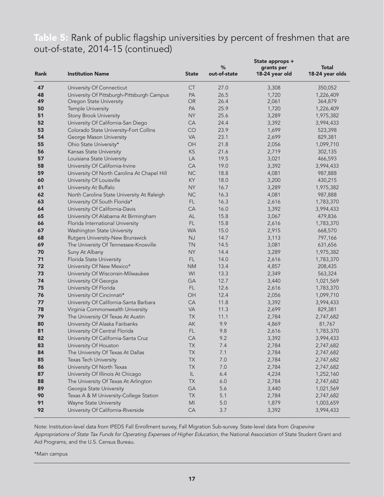# Table 5: Rank of public flagship universities by percent of freshmen that are out-of-state, 2014-15 (continued)

| Rank | <b>Institution Name</b>                     | <b>State</b> | $\%$<br>out-of-state | State approps +<br>grants per<br>18-24 year old | Total<br>18-24 year olds |
|------|---------------------------------------------|--------------|----------------------|-------------------------------------------------|--------------------------|
| 47   | University Of Connecticut                   | <b>CT</b>    | 27.0                 | 3,308                                           | 350,052                  |
| 48   | University Of Pittsburgh-Pittsburgh Campus  | PA           | 26.5                 | 1,720                                           | 1,226,409                |
| 49   | Oregon State University                     | OR           | 26.4                 | 2,061                                           | 364,879                  |
| 50   | <b>Temple University</b>                    | PA           | 25.9                 | 1,720                                           | 1,226,409                |
| 51   | <b>Stony Brook University</b>               | <b>NY</b>    | 25.6                 | 3,289                                           | 1,975,382                |
| 52   | University Of California-San Diego          | <b>CA</b>    | 24.4                 | 3,392                                           | 3,994,433                |
| 53   | Colorado State University-Fort Collins      | CO           | 23.9                 | 1,699                                           | 523,398                  |
| 54   | George Mason University                     | <b>VA</b>    | 23.1                 | 2,699                                           | 829,381                  |
| 55   | Ohio State University*                      | OH           | 21.8                 | 2,056                                           | 1,099,710                |
| 56   | Kansas State University                     | $KS$         | 21.6                 | 2,719                                           | 302,135                  |
| 57   | Louisiana State University                  | LA           | 19.5                 | 3,021                                           | 466,593                  |
| 58   | University Of California-Irvine             | CA           | 19.0                 | 3,392                                           | 3,994,433                |
| 59   | University Of North Carolina At Chapel Hill | NC           | 18.8                 | 4,081                                           | 987,888                  |
| 60   | University Of Louisville                    | KY           | 18.0                 | 3,200                                           | 430,215                  |
| 61   | University At Buffalo                       | <b>NY</b>    | 16.7                 | 3,289                                           | 1,975,382                |
| 62   | North Carolina State University At Raleigh  | NC           | 16.3                 | 4,081                                           | 987,888                  |
| 63   | University Of South Florida*                | FL.          | 16.3                 | 2,616                                           | 1,783,370                |
| 64   | University Of California-Davis              | CA           | 16.0                 | 3,392                                           | 3,994,433                |
| 65   | University Of Alabama At Birmingham         | AL           | 15.8                 | 3,067                                           | 479,836                  |
| 66   | Florida International University            | FL.          | 15.8                 | 2,616                                           | 1,783,370                |
| 67   | Washington State University                 | <b>WA</b>    | 15.0                 | 2,915                                           | 668,570                  |
| 68   | Rutgers University-New Brunswick            | NJ           | 14.7                 | 3,113                                           | 797,166                  |
| 69   | The University Of Tennessee-Knoxville       | <b>TN</b>    | 14.5                 | 3,081                                           | 631,656                  |
| 70   | Suny At Albany                              | <b>NY</b>    | 14.4                 | 3,289                                           | 1,975,382                |
| 71   | Florida State University                    | FL           | 14.0                 | 2,616                                           | 1,783,370                |
| 72   | University Of New Mexico*                   | <b>NM</b>    | 13.4                 | 4,857                                           | 208,435                  |
| 73   | University Of Wisconsin-Milwaukee           | WI           | 13.3                 | 2,349                                           | 563,324                  |
| 74   | University Of Georgia                       | GA           | 12.7                 | 3,440                                           | 1,021,569                |
| 75   | University Of Florida                       | FL.          | 12.6                 | 2,616                                           | 1,783,370                |
| 76   | University Of Cincinnati*                   | OH           | 12.4                 | 2,056                                           | 1,099,710                |
| 77   | University Of California-Santa Barbara      | CA           | 11.8                 | 3,392                                           | 3,994,433                |
| 78   | Virginia Commonwealth University            | <b>VA</b>    | 11.3                 | 2,699                                           | 829,381                  |
| 79   | The University Of Texas At Austin           | TX           | 11.1                 | 2,784                                           | 2,747,682                |
| 80   | University Of Alaska Fairbanks              | AK           | 9.9                  | 4,869                                           | 81,767                   |
| 81   | University Of Central Florida               | FL.          | 9.8                  | 2,616                                           | 1,783,370                |
| 82   | University Of California-Santa Cruz         | CA           | 9.2                  | 3,392                                           | 3,994,433                |
| 83   | University Of Houston                       | TX           | 7.4                  | 2,784                                           | 2,747,682                |
| 84   | The University Of Texas At Dallas           | TX           | 7.1                  | 2,784                                           | 2,747,682                |
| 85   | Texas Tech University                       | TX           | 7.0                  | 2,784                                           | 2,747,682                |
| 86   | University Of North Texas                   | <b>TX</b>    | 7.0                  | 2,784                                           | 2,747,682                |
| 87   | University Of Illinois At Chicago           | $\sf IL$     | 6.4                  | 4,234                                           | 1,252,160                |
| 88   | The University Of Texas At Arlington        | TX           | 6.0                  | 2,784                                           | 2,747,682                |
| 89   | Georgia State University                    | GA           | 5.6                  | 3,440                                           | 1,021,569                |
| 90   | Texas A & M University-College Station      | <b>TX</b>    | 5.1                  | 2,784                                           | 2,747,682                |
| 91   | Wayne State University                      | MI           | $5.0$                | 1,879                                           | 1,003,659                |
| 92   | University Of California-Riverside          | CA           | 3.7                  | 3,392                                           | 3,994,433                |

Note: Institution-level data from IPEDS Fall Enrollment survey, Fall Migration Sub-survey. State-level data from *Grapevine Appropriations of State Tax Funds for Operating Expenses of Higher Education,* the National Association of State Student Grant and Aid Programs, and the U.S. Census Bureau.

\*Main campus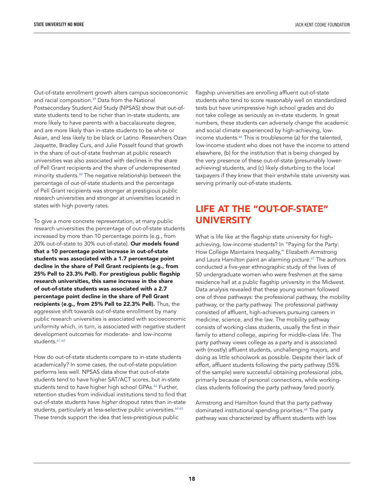Out-of-state enrollment growth alters campus socioeconomic and racial compositio[n.59 D](#page-22-0)ata from the National Postsecondary Student Aid Study (NPSAS) show that out-ofstate students tend to be richer than in-state students, are more likely to have parents with a baccalaureate degree, and are more likely than in-state students to be white or Asian, and less likely to be black or Latino. Researchers Ozan Jaquette, Bradley Curs, and Julie Posselt found that growth in the share of out-of-state freshman at public research universities was also associated with declines in the share of Pell Grant recipients and the share of underrepresented minority student[s.60 T](#page-22-0)he negative relationship between the percentage of out-of-state students and the percentage of Pell Grant recipients was stronger at prestigious public research universities and stronger at universities located in states with high poverty rates.

To give a more concrete representation, at many public research universities the percentage of out-of-state students increased by more than 10 percentage points (e.g., from 20% out-of-state to 30% out-of-state). Our models found that a 10 percentage point increase in out-of-state students was associated with a 1.7 percentage point decline in the share of Pell Grant recipients (e.g., from 25% Pell to 23.3% Pell). For prestigious public flagship research universities, this same increase in the share of out-of-state students was associated with a 2.7 percentage point decline in the share of Pell Grant recipients (e.g., from 25% Pell to 22.3% Pell). Thus, the aggressive shift towards out-of-state enrollment by many public research universities is associated with socioeconomic uniformity which, in turn, is associated with negative student development outcomes for moderate- and low-income students.<sup>61,62</sup>

How do out-of-state students compare to in-state students academically? In some cases, the out-of-state population performs less well. NPSAS data show that out-of-state students tend to have higher SAT/ACT scores, but in-state students tend to have higher high school GPAs.<sup>63</sup> Further, retention studies from individual institutions tend to find that out-of-state students have *higher* dropout rates than in-state students, particularly at less-selective public universities.<sup>64,65</sup> These trends support the idea that less-prestigious public

flagship universities are enrolling affluent out-of-state students who tend to score reasonably well on standardized tests but have unimpressive high school grades and do not take college as seriously as in-state students. In great numbers, these students can adversely change the academic and social climate experienced by high-achieving, lowincome students.<sup>66</sup> This is troublesome (a) for the talented, low-income student who does not have the income to attend elsewhere, (b) for the institution that is being changed by the very presence of these out-of-state (presumably lowerachieving) students, and (c) likely disturbing to the local taxpayers if they knew that their erstwhile state university was serving primarily out-of-state students.

## LIFE AT THE "OUT-OF-STATE" UNIVERSITY

What is life like at the flagship state university for highachieving, low-income students? In "Paying for the Party: How College Maintains Inequality," Elizabeth Armstrong and Laura Hamilton paint an alarming picture.<sup>67</sup> The authors conducted a five-year ethnographic study of the lives of 50 undergraduate women who were freshmen at the same residence hall at a public flagship university in the Midwest. Data analysis revealed that these young women followed one of three pathways: the professional pathway, the mobility pathway, or the party pathway. The professional pathway consisted of affluent, high-achievers pursuing careers in medicine, science, and the law. The mobility pathway consists of working-class students, usually the first in their family to attend college, aspiring for middle-class life. The party pathway views college as a party and is associated with (mostly) affluent students, unchallenging majors, and doing as little schoolwork as possible. Despite their lack of effort, affluent students following the party pathway (55% of the sample) were successful obtaining professional jobs, primarily because of personal connections, while workingclass students following the party pathway fared poorly.

Armstrong and Hamilton found that the party pathway dominated institutional spending priorities.<sup>68</sup> The party pathway was characterized by affluent students with low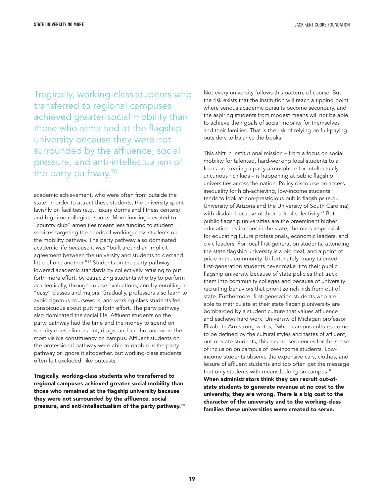Tragically, working-class students who transferred to regional campuses achieved greater social mobility than those who remained at the flagship university because they were not surrounded by the affluence, social pressure, and anti-intellectualism of the party pathway.<sup>70</sup>

academic achievement, who were often from outside the state. In order to attract these students, the university spent lavishly on facilities (e.g., luxury dorms and fitness centers) and big-time collegiate sports. More funding devoted to "country club" amenities meant less funding to student services targeting the needs of working-class students on the mobility pathway. The party pathway also dominated academic life because it was "built around an implicit agreement between the university and students to demand little of one another."<sup>69</sup> Students on the party pathway lowered academic standards by collectively refusing to put forth more effort, by ostracizing students who try to perform academically, through course evaluations, and by enrolling in "easy" classes and majors. Gradually, professors also learn to avoid rigorous coursework, and working-class students feel conspicuous about putting forth effort. The party pathway also dominated the social life. Affluent students on the party pathway had the time and the money to spend on sorority dues, dinners out, drugs, and alcohol and were the most visible constituency on campus. Affluent students on the professional pathway were able to dabble in the party pathway or ignore it altogether, but working-class students often felt excluded, like outcasts.

Tragically, working-class students who transferred to regional campuses achieved greater social mobility than those who remained at the flagship university because they were not surrounded by the affluence, social pressure, and anti-intellectualism of the party pathway.<sup>70</sup> Not every university follows this pattern, of course. But the risk exists that the institution will reach a tipping point where serious academic pursuits become secondary, and the aspiring students from modest means will not be able to achieve their goals of social mobility for themselves and their families. That is the risk of relying on full-paying outsiders to balance the books.

This shift in institutional mission – from a focus on social mobility for talented, hard-working local students to a focus on creating a party atmosphere for intellectually uncurious rich kids – is happening at public flagship universities across the nation. Policy discourse on access inequality for high-achieving, low-income students tends to look at non-prestigious public flagships (e.g., University of Arizona and the University of South Carolina) with disdain because of their lack of selectivity.<sup>71</sup> But public flagship universities are the preeminent higher education institutions in the state, the ones responsible for educating future professionals, economic leaders, and civic leaders. For local first-generation students, attending the state flagship university is a big deal, and a point of pride in the community. Unfortunately, many talented first-generation students never make it to their public flagship university because of state policies that track them into community colleges and because of university recruiting behaviors that prioritize rich kids from out of state. Furthermore, first-generation students who are able to matriculate at their state flagship university are bombarded by a student culture that values affluence and eschews hard work. University of Michigan professor Elizabeth Armstrong writes, "when campus cultures come to be defined by the cultural styles and tastes of affluent, out-of-state students, this has consequences for the sense of inclusion on campus of low-income students. Lowincome students observe the expensive cars, clothes, and leisure of affluent students and too often get the message that only students with means belong on campus." When administrators think they can recruit out-ofstate students to generate revenue at no cost to the university, they are wrong. There is a big cost to the character of the university and to the working-class families these universities were created to serve.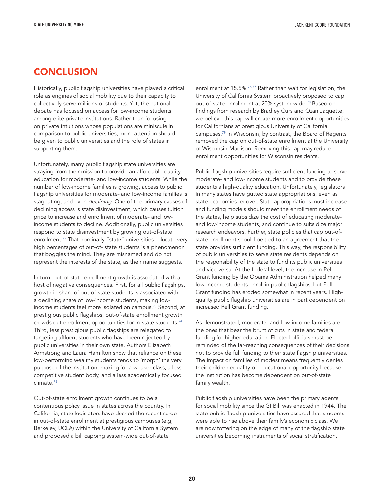## **CONCLUSION**

Historically, public flagship universities have played a critical role as engines of social mobility due to their capacity to collectively serve millions of students. Yet, the national debate has focused on access for low-income students among elite private institutions. Rather than focusing on private intuitions whose populations are miniscule in comparison to public universities, more attention should be given to public universities and the role of states in supporting them.

Unfortunately, many public flagship state universities are straying from their mission to provide an affordable quality education for moderate- and low-income students. While the number of low-income families is growing, access to public flagship universities for moderate- and low-income families is stagnating, and even *declining.* One of the primary causes of declining access is state disinvestment, which causes tuition price to increase and enrollment of moderate- and lowincome students to decline. Additionally, public universities respond to state disinvestment by growing out-of-state enrollment.<sup>72</sup> That nominally "state" universities educate very high percentages of out-of- state students is a phenomenon that boggles the mind. They are misnamed and do not represent the interests of the state, as their name suggests.

In turn, out-of-state enrollment growth is associated with a host of negative consequences. First, for all public flagships, growth in share of out-of-state students is associated with a declining share of low-income students, making lowincome students feel more isolated on campu[s.73 S](#page-22-0)econd, at prestigious public flagships, out-of-state enrollment growth crowds out enrollment opportunities for in-state student[s.74](#page-22-0) Third, less prestigious public flagships are relegated to targeting affluent students who have been rejected by public universities in their own state. Authors Elizabeth Armstrong and Laura Hamilton show that reliance on these low-performing wealthy students tends to 'morph' the very purpose of the institution, making for a weaker class, a less competitive student body, and a less academically focused climat[e.75](#page-22-0)

Out-of-state enrollment growth continues to be a contentious policy issue in states across the country. In California, state legislators have decried the recent surge in out-of-state enrollment at prestigious campuses (e.g, Berkeley, UCLA) within the University of California System and proposed a bill capping system-wide out-of-state

enrollment at 15.5%.<sup>76,77</sup> Rather than wait for legislation, the University of California System proactively proposed to cap out-of-state enrollment at 20% system-wide.<sup>78</sup> Based on findings from research by Bradley Curs and Ozan Jaquette, we believe this cap will create more enrollment opportunities for Californians at prestigious University of California campuses.<sup>79</sup> In Wisconsin, by contrast, the Board of Regents removed the cap on out-of-state enrollment at the University of Wisconsin-Madison. Removing this cap may reduce enrollment opportunities for Wisconsin residents.

Public flagship universities require sufficient funding to serve moderate- and low-income students and to provide these students a high-quality education. Unfortunately, legislators in many states have gutted state appropriations, even as state economies recover. State appropriations must increase and funding models should meet the enrollment needs of the states, help subsidize the cost of educating moderateand low-income students, and continue to subsidize major research endeavors. Further, state policies that cap out-ofstate enrollment should be tied to an agreement that the state provides sufficient funding. This way, the responsibility of public universities to serve state residents depends on the responsibility of the state to fund its public universities and vice-versa. At the federal level, the increase in Pell Grant funding by the Obama Administration helped many low-income students enroll in public flagships, but Pell Grant funding has eroded somewhat in recent years. Highquality public flagship universities are in part dependent on increased Pell Grant funding.

As demonstrated, moderate- and low-income families are the ones that bear the brunt of cuts in state and federal funding for higher education. Elected officials must be reminded of the far-reaching consequences of their decisions not to provide full funding to their state flagship universities. The impact on families of modest means frequently denies their children equality of educational opportunity because the institution has become dependent on out-of-state family wealth.

Public flagship universities have been the primary agents for social mobility since the GI Bill was enacted in 1944. The state public flagship universities have assured that students were able to rise above their family's economic class. We are now tottering on the edge of many of the flagship state universities becoming instruments of social stratification.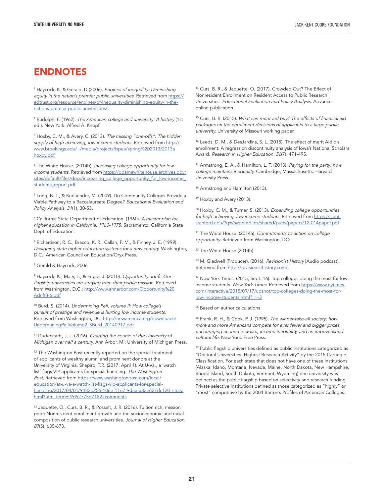#### <span id="page-20-0"></span>ENDNOTES

1 Haycock, K. & Gerald, D (2006). *Engines of inequality: Diminishing*  equity in the nation's premier public universities. Retrieved from [https://](https://edtrust.org/resource/engines-of-inequality-diminishing-equity-in-the-nations-premier-public-universities/) [edtrust.org/resource/engines-of-inequality-diminishing-equity-in-the](https://edtrust.org/resource/engines-of-inequality-diminishing-equity-in-the-nations-premier-public-universities/)[nations-premier-public-universities/](https://edtrust.org/resource/engines-of-inequality-diminishing-equity-in-the-nations-premier-public-universities/)

2 Rudolph, F. (1962). *The American college and university: A history* (1st ed.). New York: Alfred A. Knopf.

3 Hoxby, C. M., & Avery, C. (2013). *The missing "one-offs": The hidden supply of high-achieving, low-income students.* Retrieved from [http://](https://www.brookings.edu/wp-content/uploads/2016/07/2013a_hoxby.pdf) [www.brookings.edu/~/media/projects/bpea/spring%202013/2013a\\_](https://www.brookings.edu/wp-content/uploads/2016/07/2013a_hoxby.pdf) [hoxby.pdf](https://www.brookings.edu/wp-content/uploads/2016/07/2013a_hoxby.pdf)

4 The White House. (2014b). *Increasing college opportunity for lowincome students.* Retrieved from [https://obamawhitehouse.archives.gov/](https://obamawhitehouse.archives.gov/sites/default/files/docs/increasing_college_opportunity_for_low-income_students_report.pdf) [sites/default/files/docs/increasing\\_college\\_opportunity\\_for\\_low-income\\_](https://obamawhitehouse.archives.gov/sites/default/files/docs/increasing_college_opportunity_for_low-income_students_report.pdf) [students\\_report.pdf](https://obamawhitehouse.archives.gov/sites/default/files/docs/increasing_college_opportunity_for_low-income_students_report.pdf)

5 Long, B. T., & Kurlaender, M. (2009). Do Community Colleges Provide a Viable Pathway to a Baccalaureate Degree? *Educational Evaluation and Policy Analysis, 31*(1), 30-53.

6 California State Department of Education. (1960). *A master plan for higher education in California, 1960-1975.* Sacramento: California State Dept. of Education.

7 Richardson, R. C., Bracco, K. R., Callan, P. M., & Finney, J. E. (1999). *Designing state higher education systems for a new century.* Washington, D.C.: American Council on Education/Oryx Press.

8 Gerald & Haycock, 2006

9 Haycock, K., Mary, L., & Engle, J. (2010). *Opportunity adrift: Our flagship universities are straying from their public mission.* Retrieved from Washington, D.C.: [http://www.annarbor.com/Opportunity%20](http://www.annarbor.com/Opportunity%20Adrift()-6.pdf) [Adrift\(\)-6.pdf](http://www.annarbor.com/Opportunity%20Adrift()-6.pdf)

10 Burd, S. (2014). *Undermining Pell, volume II: How college's pursuit of prestige and revenue is hurting low income students.* Retrieved from Washington, DC: [http://newamerica.org/downloads/](http://newamerica.org/downloads/UnderminingPellVolume2_SBurd_20140917.pdf) [UnderminingPellVolume2\\_SBurd\\_20140917.pdf](http://newamerica.org/downloads/UnderminingPellVolume2_SBurd_20140917.pdf)

11 Duderstadt, J. J. (2016). *Charting the course of the University of Michigan over half a century.* Ann Arbor, MI: University of Michigan Press.

<sup>12</sup> The Washington Post recently reported on the special treatment of applicants of wealthy alumni and prominent donors at the University of Virginia. Shapiro, T.R. (2017, April 1). At U-Va., a 'watch list' flags VIP applicants for special handling. *The Washington Post.* Retrieved from [https://www.washingtonpost.com/local/](https://www.washingtonpost.com/local/education/at-u-va-a-watch-list-flags-vip-applicants-for-special-handling/2017/04/01/9482b256-106e-11e7-9d5a-a83e627dc120_story.html?utm_term=.9d52775d7122#comments) [education/at-u-va-a-watch-list-flags-vip-applicants-for-special](https://www.washingtonpost.com/local/education/at-u-va-a-watch-list-flags-vip-applicants-for-special-handling/2017/04/01/9482b256-106e-11e7-9d5a-a83e627dc120_story.html?utm_term=.9d52775d7122#comments)[handling/2017/04/01/9482b256-106e-11e7-9d5a-a83e627dc120\\_story.](https://www.washingtonpost.com/local/education/at-u-va-a-watch-list-flags-vip-applicants-for-special-handling/2017/04/01/9482b256-106e-11e7-9d5a-a83e627dc120_story.html?utm_term=.9d52775d7122#comments) [html?utm\\_term=.9d52775d7122#comments](https://www.washingtonpost.com/local/education/at-u-va-a-watch-list-flags-vip-applicants-for-special-handling/2017/04/01/9482b256-106e-11e7-9d5a-a83e627dc120_story.html?utm_term=.9d52775d7122#comments)

<sup>13</sup> Jaquette, O., Curs, B. R., & Posselt, J. R. (2016). Tuition rich, mission poor: Nonresident enrollment growth and the socioeconomic and racial composition of public research universities. *Journal of Higher Education, 87*(5), 635-673.

14 Curs, B. R., & Jaquette, O. (2017). Crowded Out? The Effect of Nonresident Enrollment on Resident Access to Public Research Universities. *Educational Evaluation and Policy Analysis.* Advance online publication.

15 Curs, B. R. (2015). *What can merit-aid buy? The effects of financial aid packages on the enrollment decisions of applicants to a large public university.* University of Missouri working paper.

<sup>16</sup> Leeds, D. M., & DesJardins, S. L. (2015). The effect of merit Aid on enrollment: A regression discontinuity analysis of Iowa's National Scholars Award. *Research in Higher Education, 56*(7), 471-495.

17 Armstrong, E. A., & Hamilton, L. T. (2013). *Paying for the party: how college maintains inequality.* Cambridge, Massachusetts: Harvard University Press.

<sup>18</sup> Armstrong and Hamilton (2013).

<sup>19</sup> Hoxby and Avery (2013).

20 Hoxby, C. M., & Turner, S. (2013). *Expanding college opportunities for high-achieving, low income students.* Retrieved from [https://siepr.](http://siepr.stanford.edu/research/publications/expanding-college-opportunities-high-achieving-low-income-students) [stanford.edu/?q=/system/files/shared/pubs/papers/12-014paper.pdf](http://siepr.stanford.edu/research/publications/expanding-college-opportunities-high-achieving-low-income-students)

21 The White House. (2014a). *Commitments to action on college opportunity.* Retrieved from Washington, DC:

<sup>22</sup> The White House (2014b).

23 M. Gladwell (Producer). (2016). *Revisionist History* [Audio podcast]. Retrieved from <http://revisionisthistory.com/>

<sup>24</sup> New York Times. (2015, Sept. 16). Top colleges doing the most for lowincome students. New York Times. Retrieved from [https://www.nytimes.](https://www.nytimes.com/interactive/2015/09/17/upshot/top-colleges-doing-the-most-for-low-income-students.html?_r=3) [com/interactive/2015/09/17/upshot/top-colleges-doing-the-most-for](https://www.nytimes.com/interactive/2015/09/17/upshot/top-colleges-doing-the-most-for-low-income-students.html?_r=3)[low-income-students.html?\\_r=3](https://www.nytimes.com/interactive/2015/09/17/upshot/top-colleges-doing-the-most-for-low-income-students.html?_r=3)

<sup>25</sup> Based on author calculations

26 Frank, R. H., & Cook, P. J. (1995). *The winner-take-all society: how more and more Americans compete for ever fewer and bigger prizes, encouraging economic waste, income inequality, and an impoverished cultural life.* New York: Free Press.

<sup>27</sup> Public flagship universities defined as public institutions categorized as "Doctoral Universities: Highest Research Activity" by the 2015 Carnegie Classification. For each state that does not have one of these institutions (Alaska, Idaho, Montana, Nevada, Maine, North Dakota, New Hampshire, Rhode Island, South Dakota, Vermont, Wyoming) one university was defined as the public flagship based on selectivity and research funding. Private selective institutions defined as those categorized as "highly" or "most" competitive by the 2004 Barron's Profiles of American Colleges.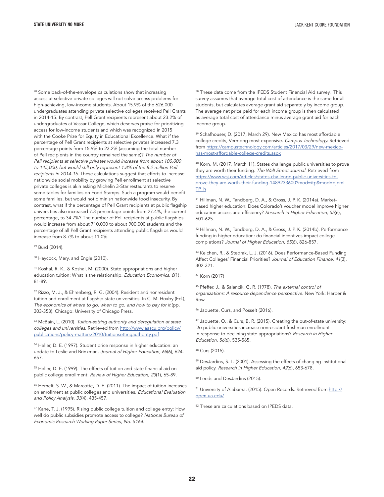<span id="page-21-0"></span><sup>28</sup> Some back-of-the-envelope calculations show that increasing access at selective private colleges will not solve access problems for high-achieving, low-income students. About 15.9% of the 626,000 undergraduates attending private selective colleges received Pell Grants in 2014-15. By contrast, Pell Grant recipients represent about 23.2% of undergraduates at Vassar College, which deserves praise for prioritizing access for low-income students and which was recognized in 2015 with the Cooke Prize for Equity in Educational Excellence. What if the percentage of Pell Grant recipients at selective privates increased 7.3 percentage points from 15.9% to 23.2% (assuming the total number of Pell recipients in the country remained the same)? *The number of Pell recipients at selective privates would increase from about 100,000 to 145,000, but would still only represent 1.8% of the 8.2 million Pell recipients in 2014-15.* These calculations suggest that efforts to increase nationwide social mobility by growing Pell enrollment at selective private colleges is akin asking Michelin 3-Star restaurants to reserve some tables for families on Food Stamps. Such a program would benefit some families, but would not diminish nationwide food insecurity. By contrast, what if the percentage of Pell Grant recipients at public flagship universities also increased 7.3 percentage points from 27.4%, the current percentage, to 34.7%? The number of Pell recipients at public flagships would increase from about 710,000 to about 900,000 students and the percentage of all Pell Grant recipients attending public flagships would increase from 8.7% to about 11.0%.

29 Burd (2014).

<sup>30</sup> Haycock, Mary, and Engle (2010).

31 Koshal, R. K., & Koshal, M. (2000). State appropriations and higher education tuition: What is the relationship. *Education Economics, 8*(1), 81-89.

32 Rizzo, M. J., & Ehrenberg, R. G. (2004). Resident and nonresident tuition and enrollment at flagship state universities. In C. M. Hoxby (Ed.), The economics of where to go, when to go, and how to pay for it (pp. 303-353). Chicago: University of Chicago Press.

33 McBain, L. (2010). *Tuition-setting authority and deregulation at state colleges and universities.* Retrieved from [http://www.aascu.org/policy/](http://www.aascu.org/policy/publications/policy-matters/2010/tuitionsettingauthority.pdf) [publications/policy-matters/2010/tuitionsettingauthority.pdf](http://www.aascu.org/policy/publications/policy-matters/2010/tuitionsettingauthority.pdf)

<sup>34</sup> Heller, D. E. (1997). Student price response in higher education: an update to Leslie and Brinkman. *Journal of Higher Education, 68*(6), 624- 657.

<sup>35</sup> Heller, D. E. (1999). The effects of tuition and state financial aid on public college enrollment. *Review of Higher Education, 23*(1), 65-89.

<sup>36</sup> Hemelt, S. W., & Marcotte, D. E. (2011). The impact of tuition increases on enrollment at public colleges and universities. *Educational Evaluation and Policy Analysis, 33*(4), 435-457.

37 Kane, T. J. (1995). Rising public college tuition and college entry: How well do public subsidies promote access to college? *National Bureau of Economic Research Working Paper Series, No. 5164.*

<sup>38</sup> These data come from the IPEDS Student Financial Aid survey. This survey assumes that average total cost of attendance is the same for all students, but calculates average grant aid separately by income group. The average net price paid for each income group is then calculated as average total cost of attendance minus average grant aid for each income group.

<sup>39</sup> Schafhouser, D. (2017, March 29). New Mexico has most affordable college credits, Vermong most expensive. *Campus Technology.* Retrieved from [https://campustechnology.com/articles/2017/03/29/new-mexico](https://campustechnology.com/articles/2017/03/29/new-mexico-has-most-affordable-college-credits.aspx)[has-most-affordable-college-credits.aspx](https://campustechnology.com/articles/2017/03/29/new-mexico-has-most-affordable-college-credits.aspx)

40 Korn, M. (2017, March 11). States challenge public universities to prove they are worth their funding. *The Wall Street Journal.* Retrieved from [https://www.wsj.com/articles/states-challenge-public-universities-to](https://www.wsj.com/articles/states-challenge-public-universities-to-prove-they-are-worth-their-funding-1489233600?mod=itp&mod=djemITP_h)[prove-they-are-worth-their-funding-1489233600?mod=itp&mod=djemI](https://www.wsj.com/articles/states-challenge-public-universities-to-prove-they-are-worth-their-funding-1489233600?mod=itp&mod=djemITP_h) [TP\\_h](https://www.wsj.com/articles/states-challenge-public-universities-to-prove-they-are-worth-their-funding-1489233600?mod=itp&mod=djemITP_h)

41 Hillman, N. W., Tandberg, D. A., & Gross, J. P. K. (2014a). Marketbased higher education: Does Colorado's voucher model improve higher education access and efficiency? *Research in Higher Education, 55*(6), 601-625.

42 Hillman, N. W., Tandberg, D. A., & Gross, J. P. K. (2014b). Performance funding in higher education: do financial incentives impact college completions? *Journal of Higher Education, 85*(6), 826-857.

43 Kelchen, R., & Stedrak, L. J. (2016). Does Performance-Based Funding Affect Colleges' Financial Priorities? *Journal of Education Finance, 41*(3), 302-321.

44 Korn (2017)

45 Pfeffer, J., & Salancik, G. R. (1978). *The external control of organizations: A resource dependence perspective.* New York: Harper & Row.

46 Jaquette, Curs, and Posselt (2016).

47 Jaquette, O., & Curs, B. R. (2015). Creating the out-of-state university: Do public universities increase nonresident freshman enrollment in response to declining state appropriations? *Research in Higher Education, 56*(6), 535-565.

<sup>49</sup> DesJardins, S. L. (2001). Assessing the effects of changing institutional aid policy. *Research in Higher Education, 42*(6), 653-678.

50 Leeds and DesJardins (2015).

51 University of Alabama. (2015). Open Records. Retrieved from [http://](http://open.ua.edu/) [open.ua.edu/](http://open.ua.edu/)

<sup>52</sup> These are calculations based on IPEDS data.

<sup>48</sup> Curs (2015).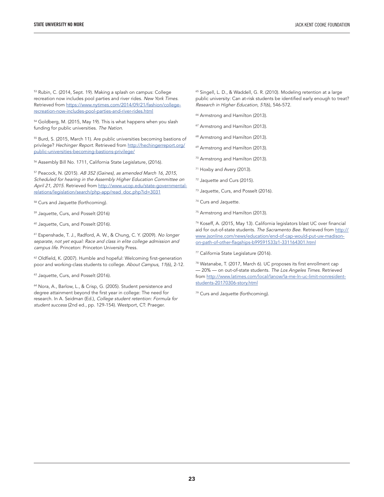<span id="page-22-0"></span>53 Rubin, C. (2014, Sept. 19). Making a splash on campus: College recreation now includes pool parties and river rides. *New York Times.* Retrieved from [https://www.nytimes.com/2014/09/21/fashion/college](https://www.nytimes.com/2014/09/21/fashion/college-recreation-now-includes-pool-parties-and-river-rides.html)[recreation-now-includes-pool-parties-and-river-rides.html](https://www.nytimes.com/2014/09/21/fashion/college-recreation-now-includes-pool-parties-and-river-rides.html)

<sup>54</sup> Goldberg, M. (2015, May 19). This is what happens when you slash funding for public universities. *The Nation.*

<sup>55</sup> Burd, S. (2015, March 11). Are public universities becoming bastions of privilege? *Hechinger Report.* Retrieved from [http://hechingerreport.org/](http://hechingerreport.org/public-universities-becoming-bastions-privilege/) [public-universities-becoming-bastions-privilege/](http://hechingerreport.org/public-universities-becoming-bastions-privilege/)

56 Assembly Bill No. 1711, California State Legislature, (2016).

57 Peacock, N. (2015). *AB 352 (Gaines), as amended March 16, 2015, Scheduled for hearing in the Assembly Higher Education Committee on April 21, 2015.* Retrieved from [http://www.ucop.edu/state-governmental](http://www.ucop.edu/state-governmental-relations/legislation/search/php-app/read_doc.php?id=3031)[relations/legislation/search/php-app/read\\_doc.php?id=3031](http://www.ucop.edu/state-governmental-relations/legislation/search/php-app/read_doc.php?id=3031)

58 Curs and Jaquette (forthcoming).

59 Jaquette, Curs, and Posselt (2016)

<sup>60</sup> Jaquette, Curs, and Posselt (2016).

61 Espenshade, T. J., Radford, A. W., & Chung, C. Y. (2009). *No longer separate, not yet equal: Race and class in elite college admission and campus life.* Princeton: Princeton University Press.

62 Oldfield, K. (2007). Humble and hopeful: Welcoming first-generation poor and working-class students to college. *About Campus, 11*(6), 2-12.

<sup>63</sup> Jaquette, Curs, and Posselt (2016).

<sup>64</sup> Nora, A., Barlow, L., & Crisp, G. (2005). Student persistence and degree attainment beyond the first year in college: The need for research. In A. Seidman (Ed.), *College student retention: Formula for student success* (2nd ed., pp. 129-154). Westport, CT: Praeger.

<sup>65</sup> Singell, L. D., & Waddell, G. R. (2010). Modeling retention at a large public university: Can at-risk students be identified early enough to treat? *Research in Higher Education, 51*(6), 546-572.

<sup>66</sup> Armstrong and Hamilton (2013).

- 67 Armstrong and Hamilton (2013).
- <sup>68</sup> Armstrong and Hamilton (2013).
- 69 Armstrong and Hamilton (2013).
- 70 Armstrong and Hamilton (2013).
- <sup>71</sup> Hoxby and Avery (2013).
- 72 Jaquette and Curs (2015).
- 73 Jaquette, Curs, and Posselt (2016).
- <sup>74</sup> Curs and Jaquette.
- <sup>75</sup> Armstrong and Hamilton (2013).

76 Koseff, A. (2015, May 13). California legislators blast UC over financial aid for out-of-state students. *The Sacramento Bee.* Retrieved from [http://](http://www.jsonline.com/news/education/end-of-cap-would-put-uw-madison-on-path-of-other-flagships-b99591533z1-331164301.html) [www.jsonline.com/news/education/end-of-cap-would-put-uw-madison](http://www.jsonline.com/news/education/end-of-cap-would-put-uw-madison-on-path-of-other-flagships-b99591533z1-331164301.html)[on-path-of-other-flagships-b99591533z1-331164301.html](http://www.jsonline.com/news/education/end-of-cap-would-put-uw-madison-on-path-of-other-flagships-b99591533z1-331164301.html)

77 California State Legislature (2016).

78 Watanabe, T. (2017, March 6). UC proposes its first enrollment cap — 20% — on out-of-state students. *The Los Angeles Times.* Retrieved from [http://www.latimes.com/local/lanow/la-me-ln-uc-limit-nonresident](http://www.latimes.com/local/lanow/la-me-ln-uc-limit-nonresident-students-20170306-story.html)[students-20170306-story.html](http://www.latimes.com/local/lanow/la-me-ln-uc-limit-nonresident-students-20170306-story.html)

79 Curs and Jaquette (forthcoming).